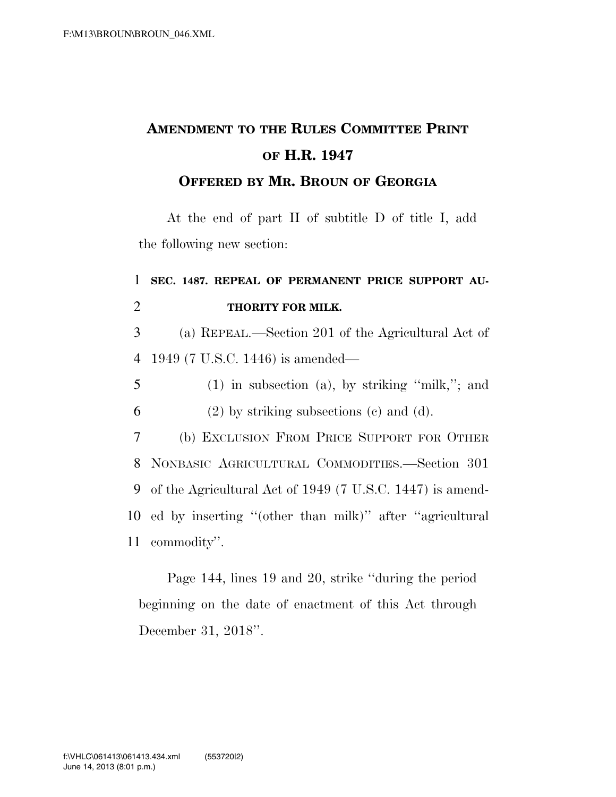## **AMENDMENT TO THE RULES COMMITTEE PRINT OF H.R. 1947**

## **OFFERED BY MR. BROUN OF GEORGIA**

At the end of part II of subtitle D of title I, add the following new section:

## 1 **SEC. 1487. REPEAL OF PERMANENT PRICE SUPPORT AU-**2 **THORITY FOR MILK.**

3 (a) REPEAL.—Section 201 of the Agricultural Act of 4 1949 (7 U.S.C. 1446) is amended—

5 (1) in subsection (a), by striking ''milk,''; and  $6$  (2) by striking subsections (c) and (d).

 (b) EXCLUSION FROM PRICE SUPPORT FOR OTHER NONBASIC AGRICULTURAL COMMODITIES.—Section 301 of the Agricultural Act of 1949 (7 U.S.C. 1447) is amend- ed by inserting ''(other than milk)'' after ''agricultural commodity''.

Page 144, lines 19 and 20, strike ''during the period beginning on the date of enactment of this Act through December 31, 2018''.